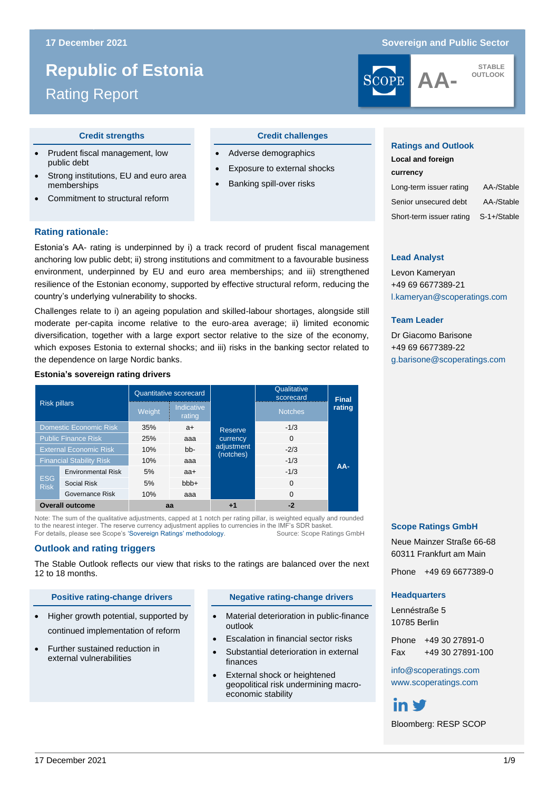# **Republic of Estonia**

# **Republic of Estonia** Rating Report

#### **17 December 2021 Sovereign and Public Sector**



**STABLE OUTLOOK**

- Prudent fiscal management, low public debt
- Strong institutions, EU and euro area memberships
- Commitment to structural reform

#### **Credit strengths Credit challenges**

- Adverse demographics
- Exposure to external shocks
- Banking spill-over risks

#### **Ratings and Outlook**

**Lead Analyst** Levon Kameryan +49 69 6677389-21

**Team Leader**

Dr Giacomo Barisone +49 69 6677389-22

| Local and foreign        |             |
|--------------------------|-------------|
| currency                 |             |
| Long-term issuer rating  | AA-/Stable  |
| Senior unsecured debt    | AA-/Stable  |
| Short-term issuer rating | S-1+/Stable |

[l.kameryan@scoperatings.com](mailto:l.kameryan@scoperatings.com)

[g.barisone@scoperatings.com](mailto:g.barisone@scoperatings.com)

# **Rating rationale:**

Estonia's AA- rating is underpinned by i) a track record of prudent fiscal management anchoring low public debt; ii) strong institutions and commitment to a favourable business environment, underpinned by EU and euro area memberships; and iii) strengthened resilience of the Estonian economy, supported by effective structural reform, reducing the country's underlying vulnerability to shocks.

Challenges relate to i) an ageing population and skilled-labour shortages, alongside still moderate per-capita income relative to the euro-area average; ii) limited economic diversification, together with a large export sector relative to the size of the economy, which exposes Estonia to external shocks; and iii) risks in the banking sector related to the dependence on large Nordic banks.

#### **Estonia's sovereign rating drivers**

| <b>Risk pillars</b>             |                           |        | Quantitative scorecard |                         | Qualitative<br>scorecard | <b>Final</b> |  |
|---------------------------------|---------------------------|--------|------------------------|-------------------------|--------------------------|--------------|--|
|                                 |                           | Weight | Indicative<br>rating   |                         | <b>Notches</b>           | rating       |  |
|                                 | Domestic Economic Risk    | 35%    | $a+$                   | <b>Reserve</b>          | $-1/3$                   |              |  |
| <b>Public Finance Risk</b>      |                           | 25%    | aaa                    | currency                | $\Omega$                 |              |  |
| <b>External Economic Risk</b>   |                           | 10%    | $bb-$                  | adjustment<br>(notches) | $-2/3$                   |              |  |
| <b>Financial Stability Risk</b> |                           | 10%    | ааа                    |                         | $-1/3$                   |              |  |
|                                 | <b>Environmental Risk</b> | 5%     | aa+                    |                         | $-1/3$                   | $AA-$        |  |
| <b>ESG</b><br><b>Risk</b>       | <b>Social Risk</b>        | 5%     | $bbb +$                |                         | $\Omega$                 |              |  |
|                                 | Governance Risk           | 10%    | aaa                    |                         | $\Omega$                 |              |  |
| <b>Overall outcome</b>          |                           | aa     |                        | +1                      | $-2$                     |              |  |

Note: The sum of the qualitative adjustments, capped at 1 notch per rating pillar, is weighted equally and rounded to the nearest integer. The reserve currency adjustment applies to currencies in the IMF's SDR basket. For details, please see Scope's ['Sovereign Ratings' methodology.](https://www.scoperatings.com/ScopeRatingsApi/api/downloadmethodology?id=01508950-119c-4ab5-9182-54fffdc1003f) Source: Scope Ratings GmbH

#### **Outlook and rating triggers**

The Stable Outlook reflects our view that risks to the ratings are balanced over the next 12 to 18 months.

#### **Positive rating-change drivers <b>Negative rating-change drivers**

- Higher growth potential, supported by continued implementation of reform
- Further sustained reduction in external vulnerabilities

- Material deterioration in public-finance outlook
- Escalation in financial sector risks
- Substantial deterioration in external finances
- External shock or heightened geopolitical risk undermining macroeconomic stability

#### **Scope Ratings GmbH**

Neue Mainzer Straße 66-68 60311 Frankfurt am Main

Phone +49 69 6677389-0

#### **Headquarters**

Lennéstraße 5 10785 Berlin

Phone +49 30 27891-0 Fax +49 30 27891-100

[info@scoperatings.com](mailto:info@scoperatings.com) [www.scoperatings.com](http://www.scoperatings.com/)

# in ₩

Bloomberg: RESP SCOP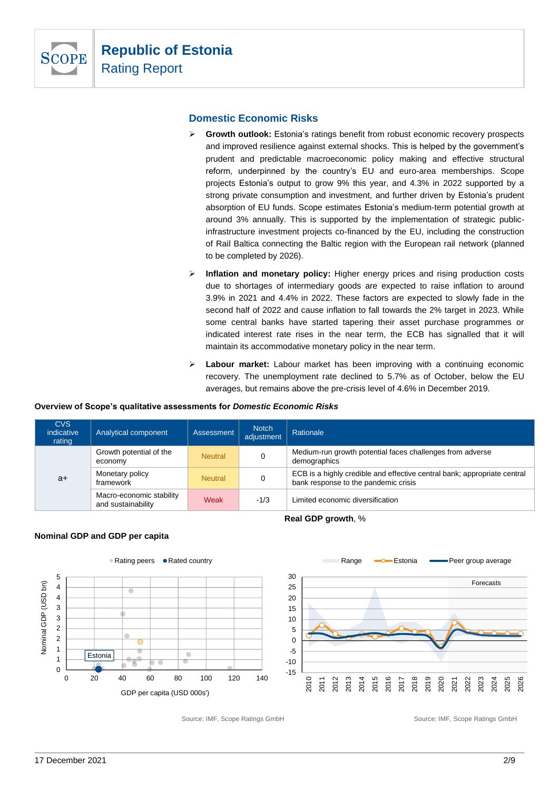

# **Domestic Economic Risks**

- ➢ **Growth outlook:** Estonia's ratings benefit from robust economic recovery prospects and improved resilience against external shocks. This is helped by the government's prudent and predictable macroeconomic policy making and effective structural reform, underpinned by the country's EU and euro-area memberships. Scope projects Estonia's output to grow 9% this year, and 4.3% in 2022 supported by a strong private consumption and investment, and further driven by Estonia's prudent absorption of EU funds. Scope estimates Estonia's medium-term potential growth at around 3% annually. This is supported by the implementation of strategic publicinfrastructure investment projects co-financed by the EU, including the construction of Rail Baltica connecting the Baltic region with the European rail network (planned to be completed by 2026).
- ➢ **Inflation and monetary policy:** Higher energy prices and rising production costs due to shortages of intermediary goods are expected to raise inflation to around 3.9% in 2021 and 4.4% in 2022. These factors are expected to slowly fade in the second half of 2022 and cause inflation to fall towards the 2% target in 2023. While some central banks have started tapering their asset purchase programmes or indicated interest rate rises in the near term, the ECB has signalled that it will maintain its accommodative monetary policy in the near term.
- ➢ **Labour market:** Labour market has been improving with a continuing economic recovery. The unemployment rate declined to 5.7% as of October, below the EU averages, but remains above the pre-crisis level of 4.6% in December 2019.

#### **Overview of Scope's qualitative assessments for** *Domestic Economic Risks*

| <b>CVS</b><br>indicative<br>rating | Analytical component                           | Assessment     | <b>Notch</b><br>adjustment | Rationale                                                                                                        |  |  |
|------------------------------------|------------------------------------------------|----------------|----------------------------|------------------------------------------------------------------------------------------------------------------|--|--|
|                                    | Growth potential of the<br>economy             | <b>Neutral</b> |                            | Medium-run growth potential faces challenges from adverse<br>demographics                                        |  |  |
| $a+$                               | Monetary policy<br>framework                   | <b>Neutral</b> |                            | ECB is a highly credible and effective central bank; appropriate central<br>bank response to the pandemic crisis |  |  |
|                                    | Macro-economic stability<br>and sustainability | Weak           | $-1/3$                     | Limited economic diversification                                                                                 |  |  |
| Real GDP growth, %                 |                                                |                |                            |                                                                                                                  |  |  |







Source: IMF, Scope Ratings GmbH Source: IMF, Scope Ratings GmbH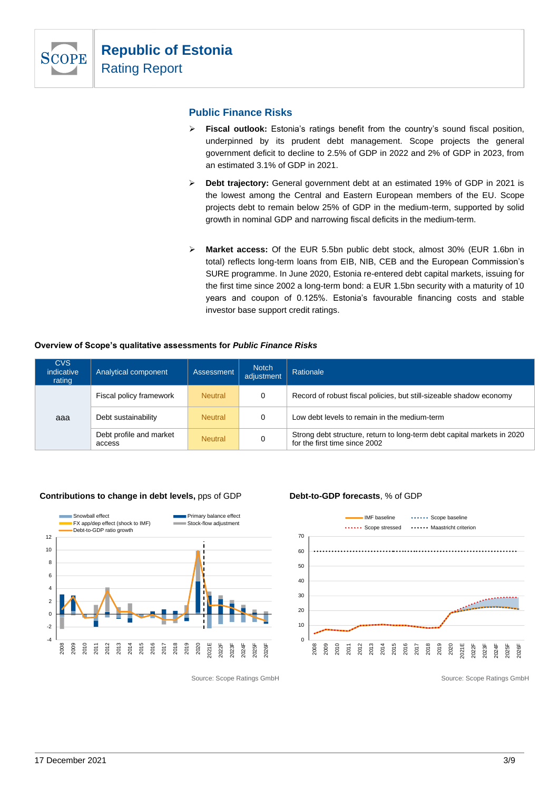

### **Public Finance Risks**

- ➢ **Fiscal outlook:** Estonia's ratings benefit from the country's sound fiscal position, underpinned by its prudent debt management. Scope projects the general government deficit to decline to 2.5% of GDP in 2022 and 2% of GDP in 2023, from an estimated 3.1% of GDP in 2021.
- ➢ **Debt trajectory:** General government debt at an estimated 19% of GDP in 2021 is the lowest among the Central and Eastern European members of the EU. Scope projects debt to remain below 25% of GDP in the medium-term, supported by solid growth in nominal GDP and narrowing fiscal deficits in the medium-term.
- ➢ **Market access:** Of the EUR 5.5bn public debt stock, almost 30% (EUR 1.6bn in total) reflects long-term loans from EIB, NIB, CEB and the European Commission's SURE programme. In June 2020, Estonia re-entered debt capital markets, issuing for the first time since 2002 a long-term bond: a EUR 1.5bn security with a maturity of 10 years and coupon of 0.125%. Estonia's favourable financing costs and stable investor base support credit ratings.

#### **Overview of Scope's qualitative assessments for** *Public Finance Risks*

| <b>CVS</b><br>indicative<br>rating | Analytical component              | Assessment     | <b>Notch</b><br>adjustment | Rationale                                                                                                |
|------------------------------------|-----------------------------------|----------------|----------------------------|----------------------------------------------------------------------------------------------------------|
|                                    | Fiscal policy framework           | <b>Neutral</b> | 0                          | Record of robust fiscal policies, but still-sizeable shadow economy                                      |
| aaa                                | Debt sustainability               | <b>Neutral</b> | 0                          | Low debt levels to remain in the medium-term                                                             |
|                                    | Debt profile and market<br>access | <b>Neutral</b> | 0                          | Strong debt structure, return to long-term debt capital markets in 2020<br>for the first time since 2002 |

#### **Contributions to change in debt levels, pps of GDP <b>Debt-to-GDP forecasts**, % of GDP





Source: Scope Ratings GmbH Source: Scope Ratings GmbH Source: Scope Ratings GmbH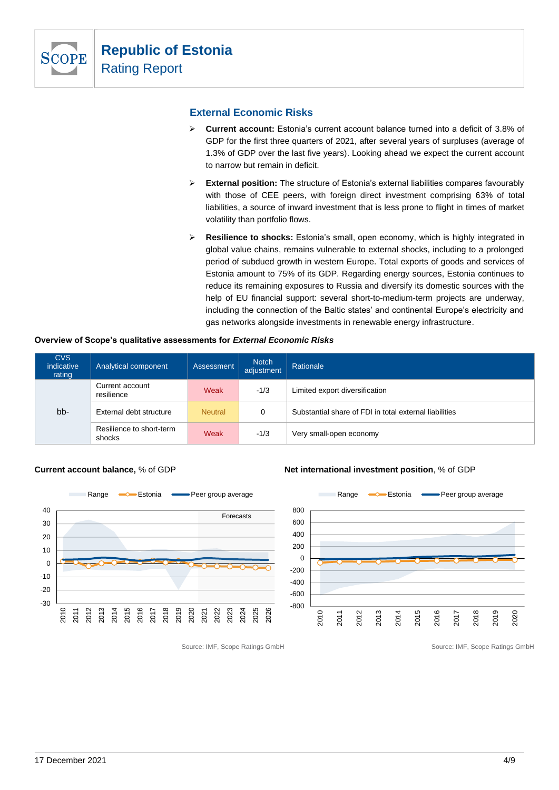

# **External Economic Risks**

- ➢ **Current account:** Estonia's current account balance turned into a deficit of 3.8% of GDP for the first three quarters of 2021, after several years of surpluses (average of 1.3% of GDP over the last five years). Looking ahead we expect the current account to narrow but remain in deficit.
- ➢ **External position:** The structure of Estonia's external liabilities compares favourably with those of CEE peers, with foreign direct investment comprising 63% of total liabilities, a source of inward investment that is less prone to flight in times of market volatility than portfolio flows.
- ➢ **Resilience to shocks:** Estonia's small, open economy, which is highly integrated in global value chains, remains vulnerable to external shocks, including to a prolonged period of subdued growth in western Europe. Total exports of goods and services of Estonia amount to 75% of its GDP. Regarding energy sources, Estonia continues to reduce its remaining exposures to Russia and diversify its domestic sources with the help of EU financial support: several short-to-medium-term projects are underway, including the connection of the Baltic states' and continental Europe's electricity and gas networks alongside investments in renewable energy infrastructure.

| <b>CVS</b><br>indicative<br>rating | Analytical component               | Assessment     | <b>Notch</b><br>adjustment | Rationale                                              |
|------------------------------------|------------------------------------|----------------|----------------------------|--------------------------------------------------------|
|                                    | Current account<br>resilience      | Weak           | $-1/3$                     | Limited export diversification                         |
| bb-                                | External debt structure            | <b>Neutral</b> | 0                          | Substantial share of FDI in total external liabilities |
|                                    | Resilience to short-term<br>shocks | Weak           | $-1/3$                     | Very small-open economy                                |



**Current account balance,** % of GDP **Net international investment position**, % of GDP



Source: IMF, Scope Ratings GmbH Source: IMF, Scope Ratings GmbH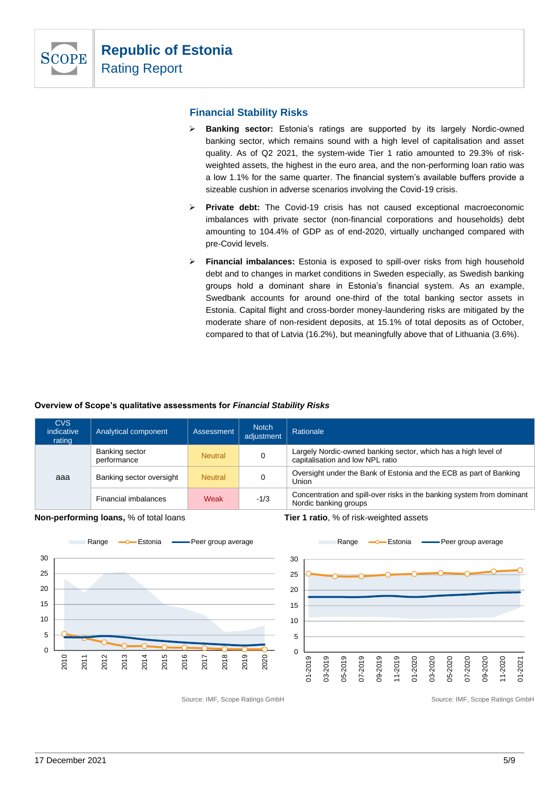

# **Financial Stability Risks**

- ➢ **Banking sector:** Estonia's ratings are supported by its largely Nordic-owned banking sector, which remains sound with a high level of capitalisation and asset quality. As of Q2 2021, the system-wide Tier 1 ratio amounted to 29.3% of riskweighted assets, the highest in the euro area, and the non-performing loan ratio was a low 1.1% for the same quarter. The financial system's available buffers provide a sizeable cushion in adverse scenarios involving the Covid-19 crisis.
- ➢ **Private debt:** The Covid-19 crisis has not caused exceptional macroeconomic imbalances with private sector (non-financial corporations and households) debt amounting to 104.4% of GDP as of end-2020, virtually unchanged compared with pre-Covid levels.
- ➢ **Financial imbalances:** Estonia is exposed to spill-over risks from high household debt and to changes in market conditions in Sweden especially, as Swedish banking groups hold a dominant share in Estonia's financial system. As an example, Swedbank accounts for around one-third of the total banking sector assets in Estonia. Capital flight and cross-border money-laundering risks are mitigated by the moderate share of non-resident deposits, at 15.1% of total deposits as of October, compared to that of Latvia (16.2%), but meaningfully above that of Lithuania (3.6%).

### **Overview of Scope's qualitative assessments for** *Financial Stability Risks*

| <b>CVS</b><br>indicative<br>rating              | Analytical component     | Assessment     | <b>Notch</b><br>adjustment                                                                         | Rationale                                                                                       |
|-------------------------------------------------|--------------------------|----------------|----------------------------------------------------------------------------------------------------|-------------------------------------------------------------------------------------------------|
| Banking sector<br><b>Neutral</b><br>performance |                          |                | Largely Nordic-owned banking sector, which has a high level of<br>capitalisation and low NPL ratio |                                                                                                 |
| aaa                                             | Banking sector oversight | <b>Neutral</b> |                                                                                                    | Oversight under the Bank of Estonia and the ECB as part of Banking<br>Union                     |
|                                                 | Financial imbalances     | Weak           | $-1/3$                                                                                             | Concentration and spill-over risks in the banking system from dominant<br>Nordic banking groups |

**Non-performing loans,** % of total loans **Tier 1 ratio**, % of risk-weighted assets





Source: IMF, Scope Ratings GmbH Source: IMF, Scope Ratings GmbH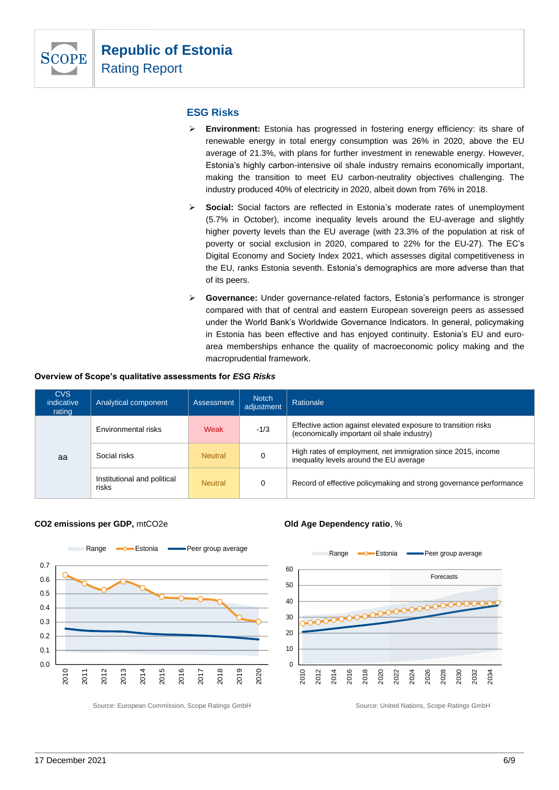

### **ESG Risks**

- ➢ **Environment:** Estonia has progressed in fostering energy efficiency: its share of renewable energy in total energy consumption was 26% in 2020, above the EU average of 21.3%, with plans for further investment in renewable energy. However, Estonia's highly carbon-intensive oil shale industry remains economically important, making the transition to meet EU carbon-neutrality objectives challenging. The industry produced 40% of electricity in 2020, albeit down from 76% in 2018.
- ➢ **Social:** Social factors are reflected in Estonia's moderate rates of unemployment (5.7% in October), income inequality levels around the EU-average and slightly higher poverty levels than the EU average (with 23.3% of the population at risk of poverty or social exclusion in 2020, compared to 22% for the EU-27). The EC's Digital Economy and Society Index 2021, which assesses digital competitiveness in the EU, ranks Estonia seventh. Estonia's demographics are more adverse than that of its peers.
- ➢ **Governance:** Under governance-related factors, Estonia's performance is stronger compared with that of central and eastern European sovereign peers as assessed under the World Bank's Worldwide Governance Indicators. In general, policymaking in Estonia has been effective and has enjoyed continuity. Estonia's EU and euroarea memberships enhance the quality of macroeconomic policy making and the macroprudential framework.

#### **Overview of Scope's qualitative assessments for** *ESG Risks*

| CVS<br>indicative<br>rating | Analytical component                 | <b>Assessment</b> | <b>Notch</b><br>adjustment | Rationale                                                                                                     |  |  |  |
|-----------------------------|--------------------------------------|-------------------|----------------------------|---------------------------------------------------------------------------------------------------------------|--|--|--|
|                             | Environmental risks                  | $-1/3$<br>Weak    |                            | Effective action against elevated exposure to transition risks<br>(economically important oil shale industry) |  |  |  |
| aa                          | Social risks                         | <b>Neutral</b>    |                            | High rates of employment, net immigration since 2015, income<br>inequality levels around the EU average       |  |  |  |
|                             | Institutional and political<br>risks | <b>Neutral</b>    | 0                          | Record of effective policymaking and strong governance performance                                            |  |  |  |

#### **CO2 emissions per GDP,** mtCO2e **Old Age Dependency ratio**, %



Source: European Commission, Scope Ratings GmbH Source: United Nations, Scope Ratings GmbH

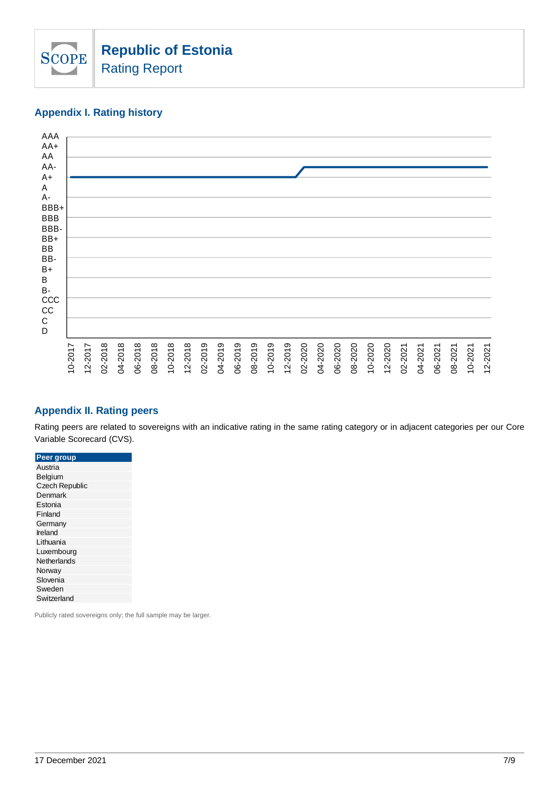

# **Appendix I. Rating history**



# **Appendix II. Rating peers**

Rating peers are related to sovereigns with an indicative rating in the same rating category or in adjacent categories per our Core Variable Scorecard (CVS).

| Peer group            |
|-----------------------|
| Austria               |
| Belgium               |
| <b>Czech Republic</b> |
| Denmark               |
| Estonia               |
| Finland               |
| Germany               |
| Ireland               |
| Lithuania             |
| Luxembourg            |
| Netherlands           |
| Norway                |
| Slovenia              |
| Sweden                |
| Switzerland           |
|                       |

Publicly rated sovereigns only; the full sample may be larger.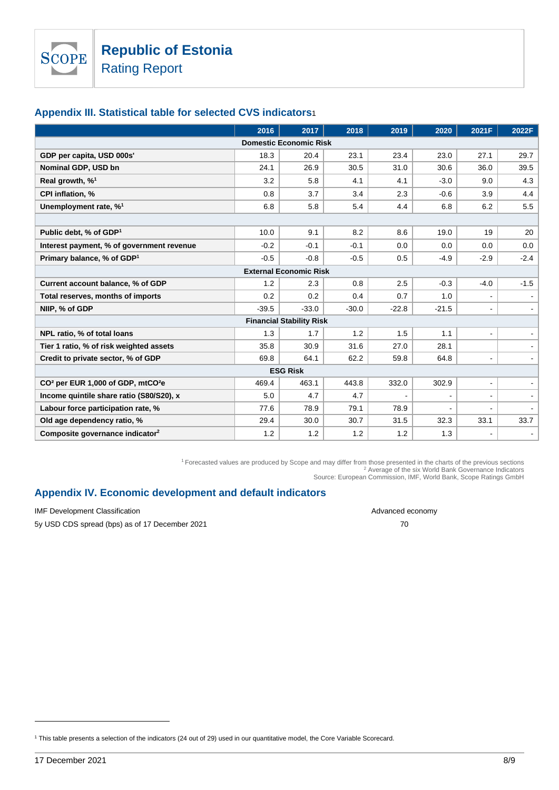**SCOPE** 

# **Appendix III. Statistical table for selected CVS indicators**1

|                                                           | 2016    | 2017                            | 2018    | 2019           | 2020    | 2021F          | 2022F  |  |  |  |
|-----------------------------------------------------------|---------|---------------------------------|---------|----------------|---------|----------------|--------|--|--|--|
| <b>Domestic Economic Risk</b>                             |         |                                 |         |                |         |                |        |  |  |  |
| GDP per capita, USD 000s'                                 | 18.3    | 20.4                            | 23.1    | 23.4           | 23.0    | 27.1           | 29.7   |  |  |  |
| Nominal GDP, USD bn                                       | 24.1    | 26.9                            | 30.5    | 31.0           | 30.6    | 36.0           | 39.5   |  |  |  |
| Real growth, % <sup>1</sup>                               | 3.2     | 5.8                             | 4.1     | 4.1            | $-3.0$  | 9.0            | 4.3    |  |  |  |
| <b>CPI inflation, %</b>                                   | 0.8     | 3.7                             | 3.4     | 2.3            | $-0.6$  | 3.9            | 4.4    |  |  |  |
| Unemployment rate, % <sup>1</sup>                         | 6.8     | 5.8                             | 5.4     | 4.4            | 6.8     | 6.2            | 5.5    |  |  |  |
|                                                           |         |                                 |         |                |         |                |        |  |  |  |
| Public debt, % of GDP <sup>1</sup>                        | 10.0    | 9.1                             | 8.2     | 8.6            | 19.0    | 19             | 20     |  |  |  |
| Interest payment, % of government revenue                 | $-0.2$  | $-0.1$                          | $-0.1$  | 0.0            | 0.0     | 0.0            | 0.0    |  |  |  |
| Primary balance, % of GDP <sup>1</sup>                    | $-0.5$  | $-0.8$                          | $-0.5$  | 0.5            | -4.9    | $-2.9$         | $-2.4$ |  |  |  |
|                                                           |         | <b>External Economic Risk</b>   |         |                |         |                |        |  |  |  |
| Current account balance, % of GDP                         | 1.2     | 2.3                             | 0.8     | 2.5            | $-0.3$  | $-4.0$         | $-1.5$ |  |  |  |
| Total reserves, months of imports                         | 0.2     | 0.2                             | 0.4     | 0.7            | 1.0     |                |        |  |  |  |
| NIIP, % of GDP                                            | $-39.5$ | $-33.0$                         | $-30.0$ | $-22.8$        | $-21.5$ |                |        |  |  |  |
|                                                           |         | <b>Financial Stability Risk</b> |         |                |         |                |        |  |  |  |
| NPL ratio, % of total loans                               | 1.3     | 1.7                             | 1.2     | 1.5            | 1.1     |                |        |  |  |  |
| Tier 1 ratio, % of risk weighted assets                   | 35.8    | 30.9                            | 31.6    | 27.0           | 28.1    |                |        |  |  |  |
| Credit to private sector, % of GDP                        | 69.8    | 64.1                            | 62.2    | 59.8           | 64.8    | $\blacksquare$ |        |  |  |  |
| <b>ESG Risk</b>                                           |         |                                 |         |                |         |                |        |  |  |  |
| CO <sup>2</sup> per EUR 1,000 of GDP, mtCO <sup>2</sup> e | 469.4   | 463.1                           | 443.8   | 332.0          | 302.9   | $\blacksquare$ |        |  |  |  |
| Income quintile share ratio (S80/S20), x                  | 5.0     | 4.7                             | 4.7     | $\blacksquare$ |         |                |        |  |  |  |
| Labour force participation rate, %                        | 77.6    | 78.9                            | 79.1    | 78.9           |         |                |        |  |  |  |
| Old age dependency ratio, %                               | 29.4    | 30.0                            | 30.7    | 31.5           | 32.3    | 33.1           | 33.7   |  |  |  |
| Composite governance indicator <sup>2</sup>               | 1.2     | 1.2                             | 1.2     | 1.2            | 1.3     |                |        |  |  |  |

<sup>1</sup>Forecasted values are produced by Scope and may differ from those presented in the charts of the previous sections <sup>2</sup> Average of the six World Bank Governance Indicators Source: European Commission, IMF, World Bank, Scope Ratings GmbH

# **Appendix IV. Economic development and default indicators**

IMF Development Classification and the state of the state of the state of the state of the Advanced economy

5y USD CDS spread (bps) as of 17 December 2021 70

<sup>1</sup> This table presents a selection of the indicators (24 out of 29) used in our quantitative model, the Core Variable Scorecard.